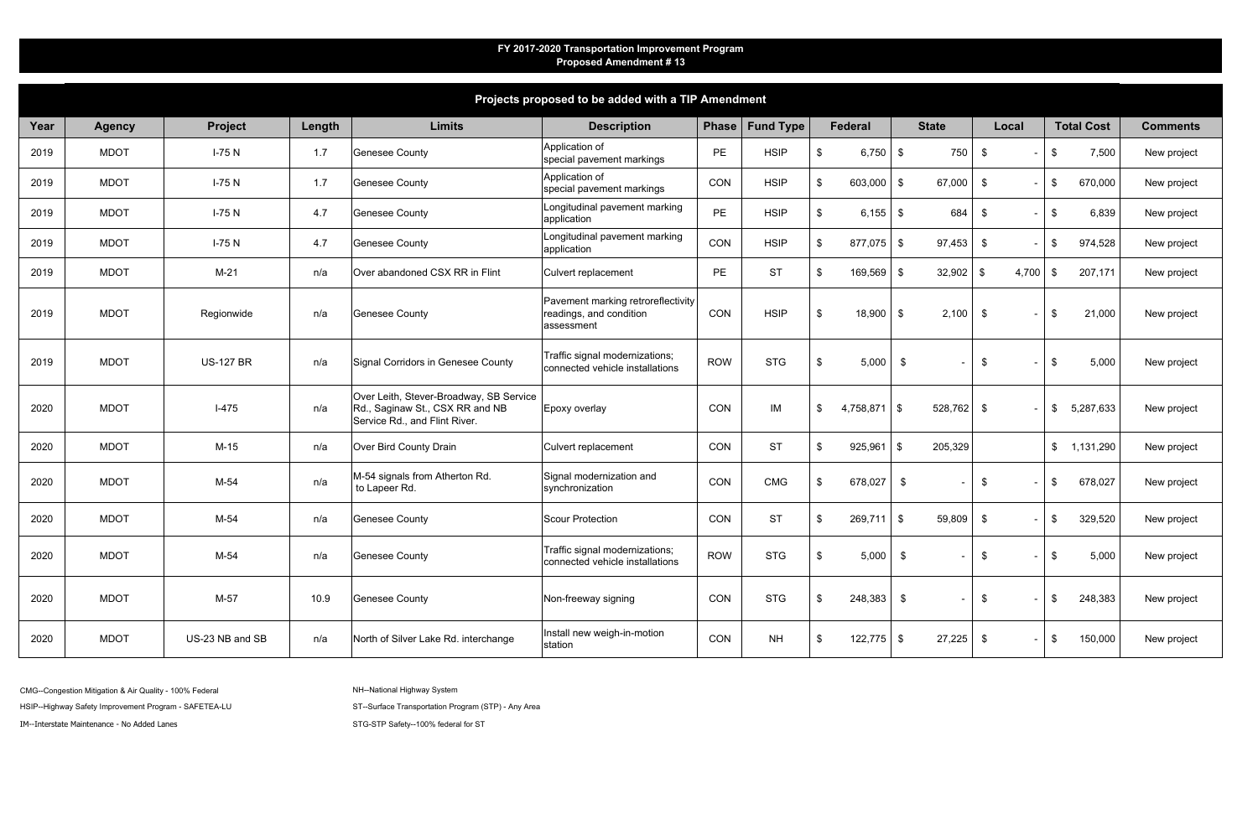| Projects proposed to be added with a TIP Amendment |               |                  |        |                                                                                                             |                                                                             |            |                   |                              |                                |                |                        |                 |
|----------------------------------------------------|---------------|------------------|--------|-------------------------------------------------------------------------------------------------------------|-----------------------------------------------------------------------------|------------|-------------------|------------------------------|--------------------------------|----------------|------------------------|-----------------|
| Year                                               | <b>Agency</b> | Project          | Length | <b>Limits</b>                                                                                               | <b>Description</b>                                                          |            | Phase   Fund Type | <b>Federal</b>               | <b>State</b>                   | Local          | <b>Total Cost</b>      | <b>Comments</b> |
| 2019                                               | <b>MDOT</b>   | $I-75N$          | 1.7    | <b>Genesee County</b>                                                                                       | Application of<br>special pavement markings                                 | <b>PE</b>  | <b>HSIP</b>       | $\sqrt[6]{2}$<br>$6,750$ \$  | 750                            | \$             | 7,500<br>\$            | New project     |
| 2019                                               | <b>MDOT</b>   | $I-75N$          | 1.7    | <b>Genesee County</b>                                                                                       | Application of<br>special pavement markings                                 | CON        | <b>HSIP</b>       | $603,000$ \$<br>\$           | 67,000                         | $\frac{1}{2}$  | 670,000<br>\$          | New project     |
| 2019                                               | <b>MDOT</b>   | $I-75N$          | 4.7    | <b>Genesee County</b>                                                                                       | Longitudinal pavement marking<br>application                                | PE         | <b>HSIP</b>       | $6,155$ \$<br>$\sqrt[6]{2}$  | 684                            | \$             | 6,839<br>$\sqrt[6]{2}$ | New project     |
| 2019                                               | <b>MDOT</b>   | $I-75N$          | 4.7    | <b>Genesee County</b>                                                                                       | Longitudinal pavement marking<br>application                                | CON        | <b>HSIP</b>       | $877,075$ \$<br>\$           | 97,453                         | $\mathfrak{F}$ | 974,528<br>\$          | New project     |
| 2019                                               | <b>MDOT</b>   | $M-21$           | n/a    | Over abandoned CSX RR in Flint                                                                              | Culvert replacement                                                         | <b>PE</b>  | <b>ST</b>         | $169,569$ \$<br>\$           | 32,902                         | 4,700<br>- \$  | 207,171<br>- \$        | New project     |
| 2019                                               | <b>MDOT</b>   | Regionwide       | n/a    | <b>Genesee County</b>                                                                                       | Pavement marking retroreflectivity<br>readings, and condition<br>assessment | CON        | <b>HSIP</b>       | $\sqrt[6]{3}$<br>$18,900$ \$ | 2,100                          | \$             | 21,000<br>\$           | New project     |
| 2019                                               | <b>MDOT</b>   | <b>US-127 BR</b> | n/a    | Signal Corridors in Genesee County                                                                          | Traffic signal modernizations;<br>connected vehicle installations           | <b>ROW</b> | <b>STG</b>        | $\sqrt[6]{3}$<br>5,000       | \$                             | $\frac{1}{2}$  | 5,000<br>\$            | New project     |
| 2020                                               | <b>MDOT</b>   | $I-475$          | n/a    | Over Leith, Stever-Broadway, SB Service<br>Rd., Saginaw St., CSX RR and NB<br>Service Rd., and Flint River. | Epoxy overlay                                                               | CON        | IM                | \$<br>4,758,871              | $\sqrt{3}$<br>$528,762$ \$     |                | 5,287,633<br>\$        | New project     |
| 2020                                               | <b>MDOT</b>   | $M-15$           | n/a    | Over Bird County Drain                                                                                      | Culvert replacement                                                         | CON        | <b>ST</b>         | 925,961<br>\$                | 205,329<br>$\vert$ \$          |                | \$ 1,131,290           | New project     |
| 2020                                               | <b>MDOT</b>   | $M-54$           | n/a    | M-54 signals from Atherton Rd.<br>to Lapeer Rd.                                                             | Signal modernization and<br>synchronization                                 | CON        | <b>CMG</b>        | 678,027<br>\$                | \$<br>$\overline{\phantom{a}}$ | $\frac{1}{2}$  | 678,027<br>S           | New project     |
| 2020                                               | <b>MDOT</b>   | $M-54$           | n/a    | <b>Genesee County</b>                                                                                       | Scour Protection                                                            | CON        | <b>ST</b>         | 269,711<br>\$                | $\frac{1}{2}$<br>59,809        | \$             | 329,520<br>\$          | New project     |
| 2020                                               | <b>MDOT</b>   | M-54             | n/a    | <b>Genesee County</b>                                                                                       | Traffic signal modernizations;<br>connected vehicle installations           | <b>ROW</b> | <b>STG</b>        | 5,000<br>\$.                 | \$<br>$\sim$                   | \$<br>$\sim$   | 5,000<br>\$            | New project     |
| 2020                                               | <b>MDOT</b>   | M-57             | 10.9   | <b>Genesee County</b>                                                                                       | Non-freeway signing                                                         | CON        | <b>STG</b>        | $248,383$ \$<br>\$           | $\sim$                         | \$             | \$<br>248,383          | New project     |
| 2020                                               | <b>MDOT</b>   | US-23 NB and SB  | n/a    | North of Silver Lake Rd. interchange                                                                        | Install new weigh-in-motion<br>station                                      | CON        | <b>NH</b>         | $122,775$ \$<br>\$           | 27,225                         | \$             | 150,000<br>\$          | New project     |
|                                                    |               |                  |        |                                                                                                             |                                                                             |            |                   |                              |                                |                |                        |                 |

CMG--Congestion Mitigation & Air Quality - 100% Federal

IM--Interstate Maintenance - No Added Lanes

STG-STP Safety--100% federal for ST

NH--National Highway System

HSIP--Highway Safety Improvement Program - SAFETEA-LU ST-Surface Transportation Program (STP) - Any Area

## **FY 2017-2020 Transportation Improvement Program Proposed Amendment # 13**

**Projects proposed to be added with a TIP Amendment**